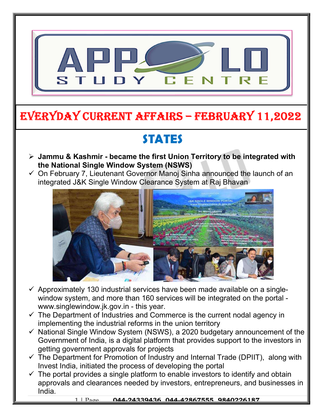

### EVERYDAY CURRENT AFFAIRS – FEBRUARY 11,2022

# STATES

-

- $\triangleright$  Jammu & Kashmir became the first Union Territory to be integrated with the National Single Window System (NSWS)
- $\checkmark$  On February 7, Lieutenant Governor Manoj Sinha announced the launch of an integrated J&K Single Window Clearance System at Raj Bhavan



- $\checkmark$  Approximately 130 industrial services have been made available on a singlewindow system, and more than 160 services will be integrated on the portal www.singlewindow.jk.gov.in - this year.
- $\checkmark$  The Department of Industries and Commerce is the current nodal agency in implementing the industrial reforms in the union territory
- $\checkmark$  National Single Window System (NSWS), a 2020 budgetary announcement of the Government of India, is a digital platform that provides support to the investors in getting government approvals for projects
- $\checkmark$  The Department for Promotion of Industry and Internal Trade (DPIIT), along with Invest India, initiated the process of developing the portal
- $\checkmark$  The portal provides a single platform to enable investors to identify and obtain approvals and clearances needed by investors, entrepreneurs, and businesses in India.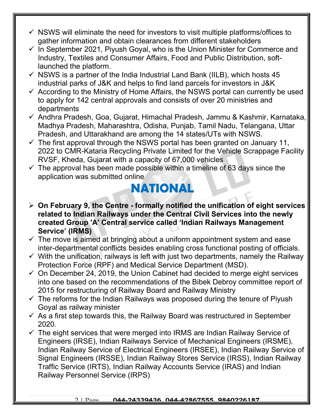- $\checkmark$  NSWS will eliminate the need for investors to visit multiple platforms/offices to gather information and obtain clearances from different stakeholders
- $\checkmark$  In September 2021, Piyush Goyal, who is the Union Minister for Commerce and Industry, Textiles and Consumer Affairs, Food and Public Distribution, softlaunched the platform.
- $\checkmark$  NSWS is a partner of the India Industrial Land Bank (IILB), which hosts 45 industrial parks of J&K and helps to find land parcels for investors in J&K
- $\checkmark$  According to the Ministry of Home Affairs, the NSWS portal can currently be used to apply for 142 central approvals and consists of over 20 ministries and departments
- Andhra Pradesh, Goa, Gujarat, Himachal Pradesh, Jammu & Kashmir, Karnataka, Madhya Pradesh, Maharashtra, Odisha, Punjab, Tamil Nadu, Telangana, Uttar Pradesh, and Uttarakhand are among the 14 states/UTs with NSWS.
- $\checkmark$  The first approval through the NSWS portal has been granted on January 11, 2022 to CMR-Kataria Recycling Private Limited for the Vehicle Scrappage Facility RVSF, Kheda, Gujarat with a capacity of 67,000 vehicles
- $\checkmark$  The approval has been made possible within a timeline of 63 days since the application was submitted online

### NATIONAL

- $\triangleright$  On February 9, the Centre formally notified the unification of eight services related to Indian Railways under the Central Civil Services into the newly created Group 'A' Central service called 'Indian Railways Management Service' (IRMS)
- $\checkmark$  The move is aimed at bringing about a uniform appointment system and ease inter-departmental conflicts besides enabling cross functional posting of officials.
- $\checkmark$  With the unification, railways is left with just two departments, namely the Railway Protection Force (RPF) and Medical Service Department (MSD).
- $\checkmark$  On December 24, 2019, the Union Cabinet had decided to merge eight services into one based on the recommendations of the Bibek Debroy committee report of 2015 for restructuring of Railway Board and Railway Ministry
- $\checkmark$  The reforms for the Indian Railways was proposed during the tenure of Piyush Goyal as railway minister
- $\checkmark$  As a first step towards this, the Railway Board was restructured in September 2020.
- $\checkmark$  The eight services that were merged into IRMS are Indian Railway Service of Engineers (IRSE), Indian Railways Service of Mechanical Engineers (IRSME), Indian Railway Service of Electrical Engineers (IRSEE), Indian Railway Service of Signal Engineers (IRSSE), Indian Railway Stores Service (IRSS), Indian Railway Traffic Service (IRTS), Indian Railway Accounts Service (IRAS) and Indian Railway Personnel Service (IRPS)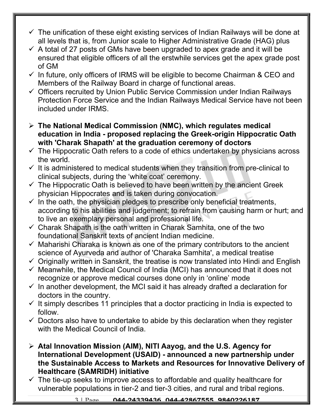- $\checkmark$  The unification of these eight existing services of Indian Railways will be done at all levels that is, from Junior scale to Higher Administrative Grade (HAG) plus
- $\checkmark$  A total of 27 posts of GMs have been upgraded to apex grade and it will be ensured that eligible officers of all the erstwhile services get the apex grade post of GM
- $\checkmark$  In future, only officers of IRMS will be eligible to become Chairman & CEO and Members of the Railway Board in charge of functional areas.
- $\checkmark$  Officers recruited by Union Public Service Commission under Indian Railways Protection Force Service and the Indian Railways Medical Service have not been included under IRMS.
- $\triangleright$  The National Medical Commission (NMC), which regulates medical education in India - proposed replacing the Greek-origin Hippocratic Oath with 'Charak Shapath' at the graduation ceremony of doctors
- $\checkmark$  The Hippocratic Oath refers to a code of ethics undertaken by physicians across the world.
- $\checkmark$  It is administered to medical students when they transition from pre-clinical to clinical subjects, during the 'white coat' ceremony.
- $\checkmark$  The Hippocratic Oath is believed to have been written by the ancient Greek physician Hippocrates and is taken during convocation.
- $\checkmark$  In the oath, the physician pledges to prescribe only beneficial treatments, according to his abilities and judgement; to refrain from causing harm or hurt; and to live an exemplary personal and professional life.
- $\checkmark$  Charak Shapath is the oath written in Charak Samhita, one of the two foundational Sanskrit texts of ancient Indian medicine.
- $\checkmark$  Maharishi Charaka is known as one of the primary contributors to the ancient science of Ayurveda and author of 'Charaka Samhita', a medical treatise
- $\checkmark$  Originally written in Sanskrit, the treatise is now translated into Hindi and English
- $\checkmark$  Meanwhile, the Medical Council of India (MCI) has announced that it does not recognize or approve medical courses done only in 'online' mode
- $\checkmark$  In another development, the MCI said it has already drafted a declaration for doctors in the country.
- $\checkmark$  It simply describes 11 principles that a doctor practicing in India is expected to follow.
- $\checkmark$  Doctors also have to undertake to abide by this declaration when they register with the Medical Council of India.
- $\triangleright$  Atal Innovation Mission (AIM), NITI Aayog, and the U.S. Agency for International Development (USAID) - announced a new partnership under the Sustainable Access to Markets and Resources for Innovative Delivery of Healthcare (SAMRIDH) initiative
- $\checkmark$  The tie-up seeks to improve access to affordable and quality healthcare for vulnerable populations in tier-2 and tier-3 cities, and rural and tribal regions.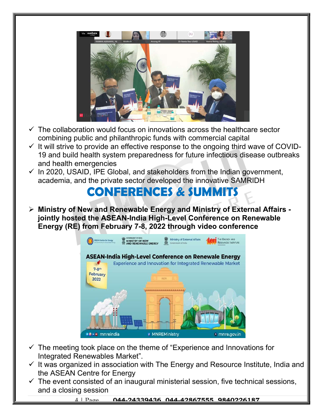

- $\checkmark$  The collaboration would focus on innovations across the healthcare sector combining public and philanthropic funds with commercial capital
- $\checkmark$  It will strive to provide an effective response to the ongoing third wave of COVID-19 and build health system preparedness for future infectious disease outbreaks and health emergencies
- $\checkmark$  In 2020, USAID, IPE Global, and stakeholders from the Indian government, academia, and the private sector developed the innovative SAMRIDH

#### CONFERENCES & SUMMITS

 Ministry of New and Renewable Energy and Ministry of External Affairs jointly hosted the ASEAN-India High-Level Conference on Renewable Energy (RE) from February 7-8, 2022 through video conference



- $\checkmark$  The meeting took place on the theme of "Experience and Innovations for Integrated Renewables Market".
- $\checkmark$  It was organized in association with The Energy and Resource Institute, India and the ASEAN Centre for Energy
- $\checkmark$  The event consisted of an inaugural ministerial session, five technical sessions, and a closing session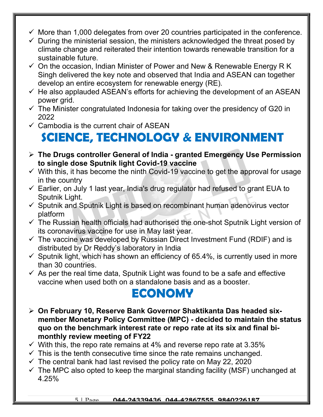- $\checkmark$  More than 1,000 delegates from over 20 countries participated in the conference.
- $\checkmark$  During the ministerial session, the ministers acknowledged the threat posed by climate change and reiterated their intention towards renewable transition for a sustainable future.
- $\checkmark$  On the occasion, Indian Minister of Power and New & Renewable Energy R K Singh delivered the key note and observed that India and ASEAN can together develop an entire ecosystem for renewable energy (RE).
- $\checkmark$  He also applauded ASEAN's efforts for achieving the development of an ASEAN power grid.
- $\checkmark$  The Minister congratulated Indonesia for taking over the presidency of G20 in 2022
- $\checkmark$  Cambodia is the current chair of ASEAN

## SCIENCE, TECHNOLOGY & ENVIRONMENT

- $\triangleright$  The Drugs controller General of India granted Emergency Use Permission to single dose Sputnik light Covid-19 vaccine
- $\checkmark$  With this, it has become the ninth Covid-19 vaccine to get the approval for usage in the country
- $\checkmark$  Earlier, on July 1 last year, India's drug regulator had refused to grant EUA to Sputnik Light.
- $\checkmark$  Sputnik and Sputnik Light is based on recombinant human adenovirus vector platform
- $\checkmark$  The Russian health officials had authorised the one-shot Sputnik Light version of its coronavirus vaccine for use in May last year.
- $\checkmark$  The vaccine was developed by Russian Direct Investment Fund (RDIF) and is distributed by Dr Reddy's laboratory in India
- $\checkmark$  Sputnik light, which has shown an efficiency of 65.4%, is currently used in more than 30 countries.
- $\checkmark$  As per the real time data, Sputnik Light was found to be a safe and effective vaccine when used both on a standalone basis and as a booster.

#### ECONOMY

- On February 10, Reserve Bank Governor Shaktikanta Das headed sixmember Monetary Policy Committee (MPC) - decided to maintain the status quo on the benchmark interest rate or repo rate at its six and final bimonthly review meeting of FY22
- $\checkmark$  With this, the repo rate remains at 4% and reverse repo rate at 3.35%
- $\checkmark$  This is the tenth consecutive time since the rate remains unchanged.
- $\checkmark$  The central bank had last revised the policy rate on May 22, 2020
- $\checkmark$  The MPC also opted to keep the marginal standing facility (MSF) unchanged at 4.25%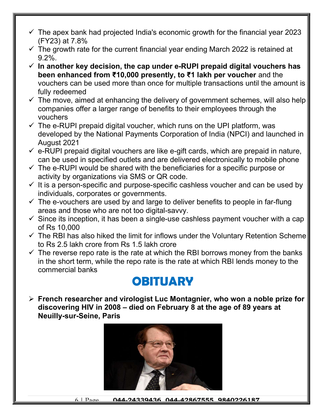- $\checkmark$  The apex bank had projected India's economic growth for the financial year 2023 (FY23) at 7.8%
- $\checkmark$  The growth rate for the current financial year ending March 2022 is retained at 9.2%.
- $\checkmark$  In another key decision, the cap under e-RUPI prepaid digital vouchers has been enhanced from ₹10,000 presently, to ₹1 lakh per voucher and the vouchers can be used more than once for multiple transactions until the amount is fully redeemed
- $\checkmark$  The move, aimed at enhancing the delivery of government schemes, will also help companies offer a larger range of benefits to their employees through the vouchers
- $\checkmark$  The e-RUPI prepaid digital voucher, which runs on the UPI platform, was developed by the National Payments Corporation of India (NPCI) and launched in August 2021
- $\checkmark$  e-RUPI prepaid digital vouchers are like e-gift cards, which are prepaid in nature, can be used in specified outlets and are delivered electronically to mobile phone
- $\checkmark$  The e-RUPI would be shared with the beneficiaries for a specific purpose or activity by organizations via SMS or QR code.
- $\checkmark$  It is a person-specific and purpose-specific cashless voucher and can be used by individuals, corporates or governments.
- $\checkmark$  The e-vouchers are used by and large to deliver benefits to people in far-flung areas and those who are not too digital-savvy.
- $\checkmark$  Since its inception, it has been a single-use cashless payment voucher with a cap of Rs 10,000
- $\checkmark$  The RBI has also hiked the limit for inflows under the Voluntary Retention Scheme to Rs 2.5 lakh crore from Rs 1.5 lakh crore
- $\checkmark$  The reverse repo rate is the rate at which the RBI borrows money from the banks in the short term, while the repo rate is the rate at which RBI lends money to the commercial banks

### **OBITUARY**

 $\triangleright$  French researcher and virologist Luc Montagnier, who won a noble prize for discovering HIV in 2008 – died on February 8 at the age of 89 years at Neuilly-sur-Seine, Paris



6 | Page 044.24339436 044.42867555 9840226187